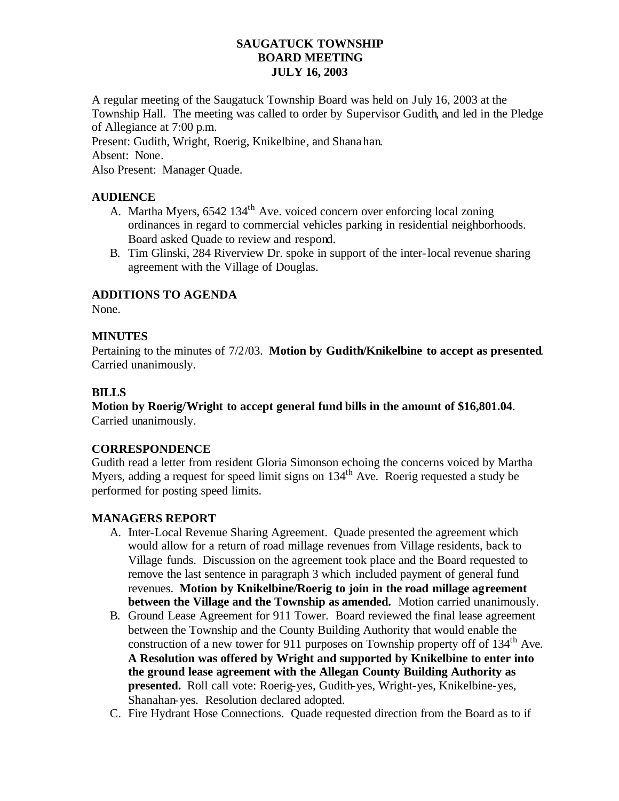### **SAUGATUCK TOWNSHIP BOARD MEETING JULY 16, 2003**

A regular meeting of the Saugatuck Township Board was held on July 16, 2003 at the Township Hall. The meeting was called to order by Supervisor Gudith, and led in the Pledge of Allegiance at 7:00 p.m.

Present: Gudith, Wright, Roerig, Knikelbine, and Shanahan.

Absent: None.

Also Present: Manager Quade.

## **AUDIENCE**

- A. Martha Myers, 6542 134<sup>th</sup> Ave. voiced concern over enforcing local zoning ordinances in regard to commercial vehicles parking in residential neighborhoods. Board asked Quade to review and respond.
- B. Tim Glinski, 284 Riverview Dr. spoke in support of the inter-local revenue sharing agreement with the Village of Douglas.

# **ADDITIONS TO AGENDA**

None.

## **MINUTES**

Pertaining to the minutes of 7/2/03. **Motion by Gudith/Knikelbine to accept as presented**. Carried unanimously.

## **BILLS**

**Motion by Roerig/Wright to accept general fund bills in the amount of \$16,801.04**. Carried unanimously.

#### **CORRESPONDENCE**

Gudith read a letter from resident Gloria Simonson echoing the concerns voiced by Martha Myers, adding a request for speed limit signs on 134<sup>th</sup> Ave. Roerig requested a study be performed for posting speed limits.

#### **MANAGERS REPORT**

- A. Inter-Local Revenue Sharing Agreement. Quade presented the agreement which would allow for a return of road millage revenues from Village residents, back to Village funds. Discussion on the agreement took place and the Board requested to remove the last sentence in paragraph 3 which included payment of general fund revenues. **Motion by Knikelbine/Roerig to join in the road millage agreement between the Village and the Township as amended.** Motion carried unanimously.
- B. Ground Lease Agreement for 911 Tower. Board reviewed the final lease agreement between the Township and the County Building Authority that would enable the construction of a new tower for 911 purposes on Township property off of  $134<sup>th</sup>$  Ave. **A Resolution was offered by Wright and supported by Knikelbine to enter into the ground lease agreement with the Allegan County Building Authority as presented.** Roll call vote: Roerig-yes, Gudith-yes, Wright-yes, Knikelbine-yes, Shanahan-yes. Resolution declared adopted.
- C. Fire Hydrant Hose Connections. Quade requested direction from the Board as to if